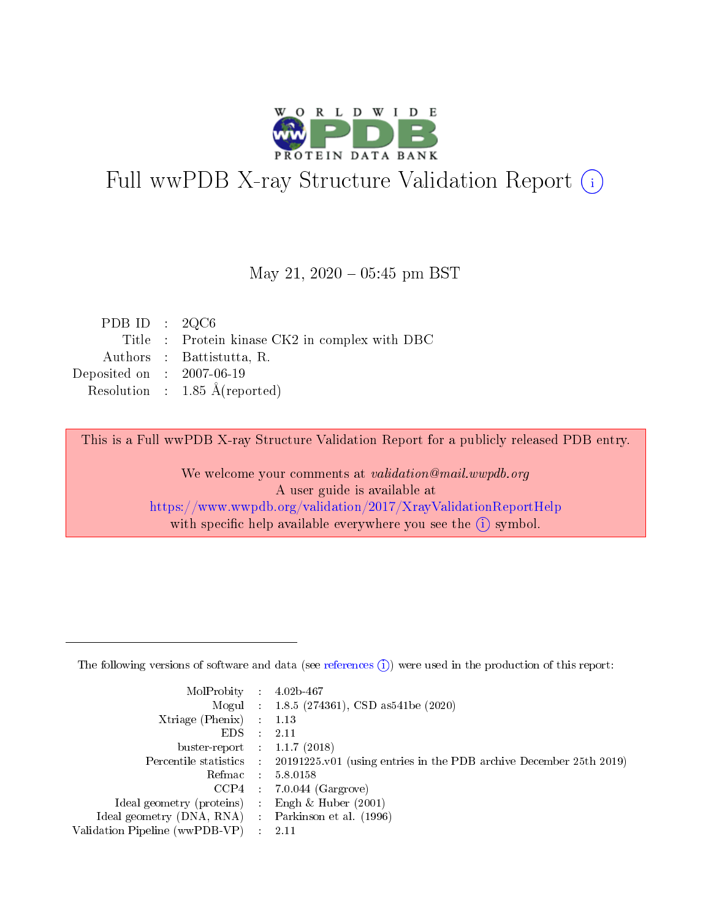

# Full wwPDB X-ray Structure Validation Report (i)

#### May 21,  $2020 - 05:45$  pm BST

| PDB ID : $2QC6$                               |
|-----------------------------------------------|
| Title: Protein kinase CK2 in complex with DBC |
| Authors : Battistutta, R.                     |
| Deposited on : $2007-06-19$                   |
| Resolution : $1.85 \text{ Å}$ (reported)      |
|                                               |

This is a Full wwPDB X-ray Structure Validation Report for a publicly released PDB entry.

We welcome your comments at validation@mail.wwpdb.org A user guide is available at <https://www.wwpdb.org/validation/2017/XrayValidationReportHelp> with specific help available everywhere you see the  $(i)$  symbol.

The following versions of software and data (see [references](https://www.wwpdb.org/validation/2017/XrayValidationReportHelp#references)  $(1)$ ) were used in the production of this report:

| MolProbity :                   |               | $4.02b - 467$                                                               |
|--------------------------------|---------------|-----------------------------------------------------------------------------|
|                                |               | Mogul : $1.8.5$ (274361), CSD as 541be (2020)                               |
| $X$ triage (Phenix) :          |               | 1.13                                                                        |
| EDS.                           |               | 2.11                                                                        |
| buster-report : $1.1.7$ (2018) |               |                                                                             |
| Percentile statistics :        |               | $20191225 \text{v}01$ (using entries in the PDB archive December 25th 2019) |
| Refmac :                       |               | 5.8.0158                                                                    |
| $CCP4$ :                       |               | $7.0.044$ (Gargrove)                                                        |
| Ideal geometry (proteins) :    |               | Engh $\&$ Huber (2001)                                                      |
| Ideal geometry (DNA, RNA) :    |               | Parkinson et al. (1996)                                                     |
| Validation Pipeline (wwPDB-VP) | $\mathcal{L}$ | 2.11                                                                        |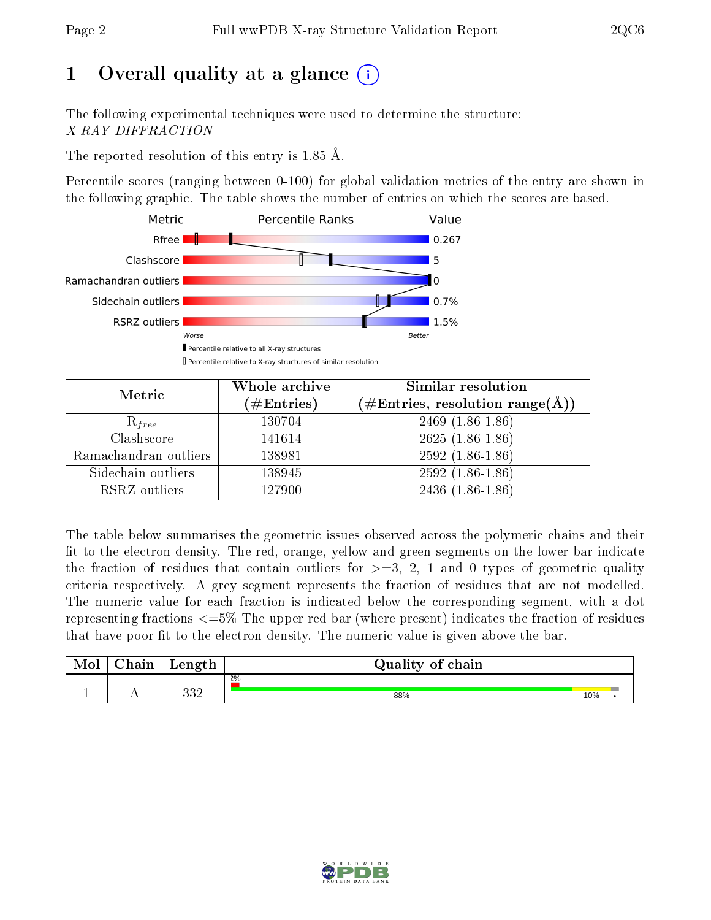# 1 [O](https://www.wwpdb.org/validation/2017/XrayValidationReportHelp#overall_quality)verall quality at a glance  $(i)$

The following experimental techniques were used to determine the structure: X-RAY DIFFRACTION

The reported resolution of this entry is 1.85 Å.

Percentile scores (ranging between 0-100) for global validation metrics of the entry are shown in the following graphic. The table shows the number of entries on which the scores are based.



| Metric                | Whole archive<br>$(\#\text{Entries})$ | <b>Similar resolution</b><br>$(\#\text{Entries}, \text{resolution range}(\text{\AA}))$ |
|-----------------------|---------------------------------------|----------------------------------------------------------------------------------------|
| $R_{free}$            | 130704                                | $2469(1.86-1.86)$                                                                      |
| Clashscore            | 141614                                | $2625(1.86-1.86)$                                                                      |
| Ramachandran outliers | 138981                                | $2592(1.86-1.86)$                                                                      |
| Sidechain outliers    | 138945                                | $2592(1.86-1.86)$                                                                      |
| RSRZ outliers         | 127900                                | $2436(1.86-1.86)$                                                                      |

The table below summarises the geometric issues observed across the polymeric chains and their fit to the electron density. The red, orange, yellow and green segments on the lower bar indicate the fraction of residues that contain outliers for  $>=3, 2, 1$  and 0 types of geometric quality criteria respectively. A grey segment represents the fraction of residues that are not modelled. The numeric value for each fraction is indicated below the corresponding segment, with a dot representing fractions <=5% The upper red bar (where present) indicates the fraction of residues that have poor fit to the electron density. The numeric value is given above the bar.

| Mol | $\cap$ hain | Length     | Quality of chain |     |  |
|-----|-------------|------------|------------------|-----|--|
|     |             |            | 2%               |     |  |
|     |             | າາດ<br>ບບ∠ | 88%              | 10% |  |

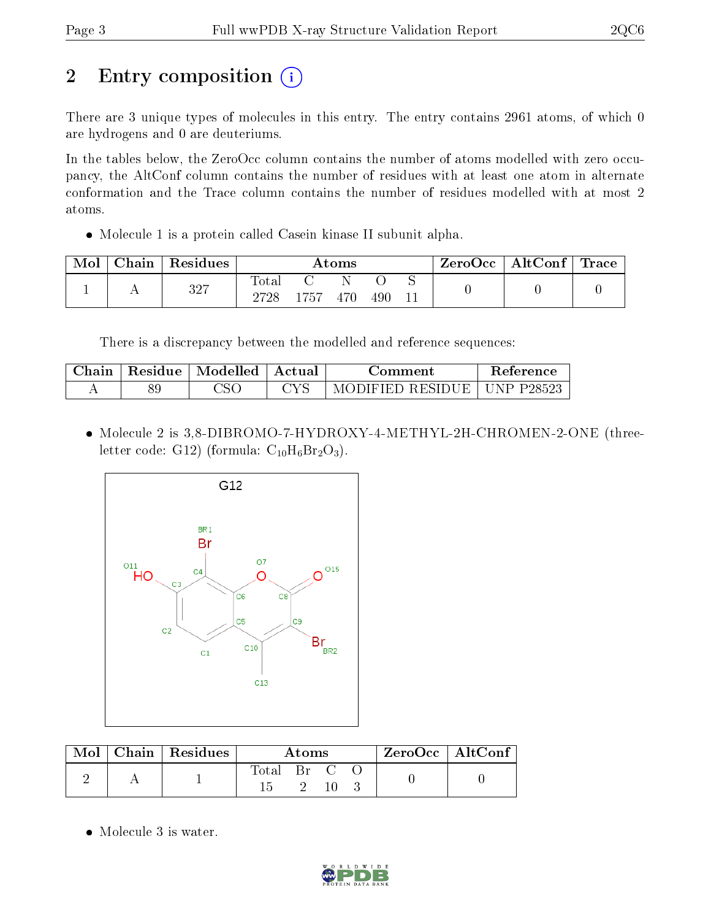# 2 Entry composition (i)

There are 3 unique types of molecules in this entry. The entry contains 2961 atoms, of which 0 are hydrogens and 0 are deuteriums.

In the tables below, the ZeroOcc column contains the number of atoms modelled with zero occupancy, the AltConf column contains the number of residues with at least one atom in alternate conformation and the Trace column contains the number of residues modelled with at most 2 atoms.

Molecule 1 is a protein called Casein kinase II subunit alpha.

| Mol | $C$ hain   Residues | Atoms               |      |     |     | $\mid$ ZeroOcc $\mid$ AltConf $\mid$ Trace $\mid$ |  |  |
|-----|---------------------|---------------------|------|-----|-----|---------------------------------------------------|--|--|
|     | 327                 | $\rm Total$<br>2728 | -757 | 470 | 490 |                                                   |  |  |

There is a discrepancy between the modelled and reference sequences:

| Chain |    | Residue   Modelled   Actual | Comment :                           | Reference |
|-------|----|-----------------------------|-------------------------------------|-----------|
|       | οr | CSC                         | MODIFIED RESIDUE $\vert$ UNP P28523 |           |

• Molecule 2 is 3,8-DIBROMO-7-HYDROXY-4-METHYL-2H-CHROMEN-2-ONE (threeletter code: G12) (formula:  $C_{10}H_6Br_2O_3$ ).



| Mol | Chain   Residues | Atoms       |                                 |  |  | $\rm{ZeroOcc}$   $\rm{Alt}\overline{\rm{Conf}}$ . |
|-----|------------------|-------------|---------------------------------|--|--|---------------------------------------------------|
|     |                  | $\rm Total$ | $\operatorname{Br}$ $\mathbb C$ |  |  |                                                   |
|     |                  |             |                                 |  |  |                                                   |

• Molecule 3 is water.

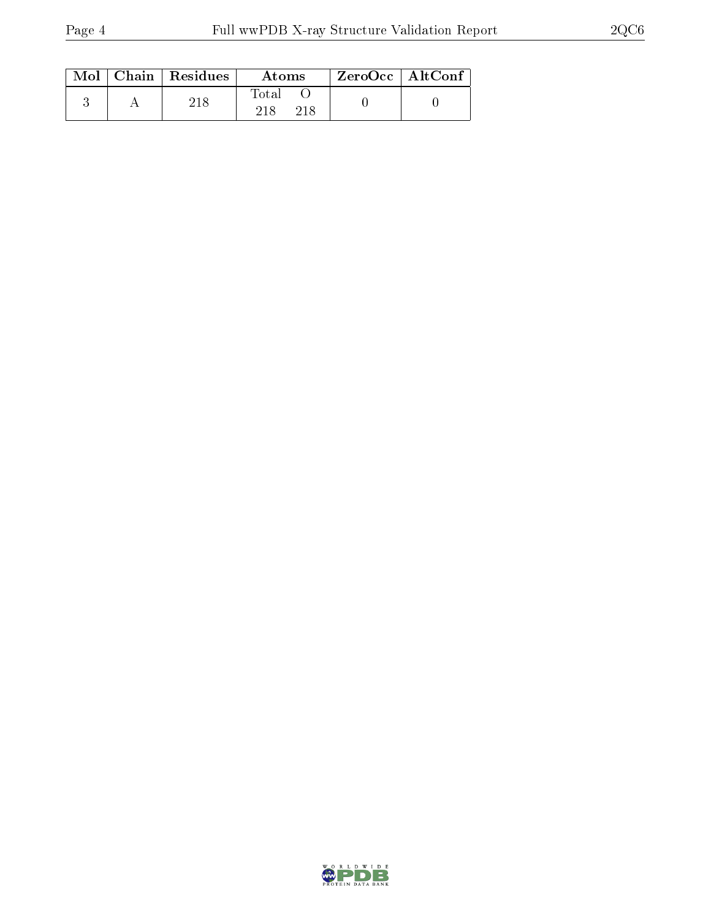|  | $Mol$   Chain   Residues | Atoms | $ZeroOcc$   AltConf |  |
|--|--------------------------|-------|---------------------|--|
|  |                          | Fotal |                     |  |

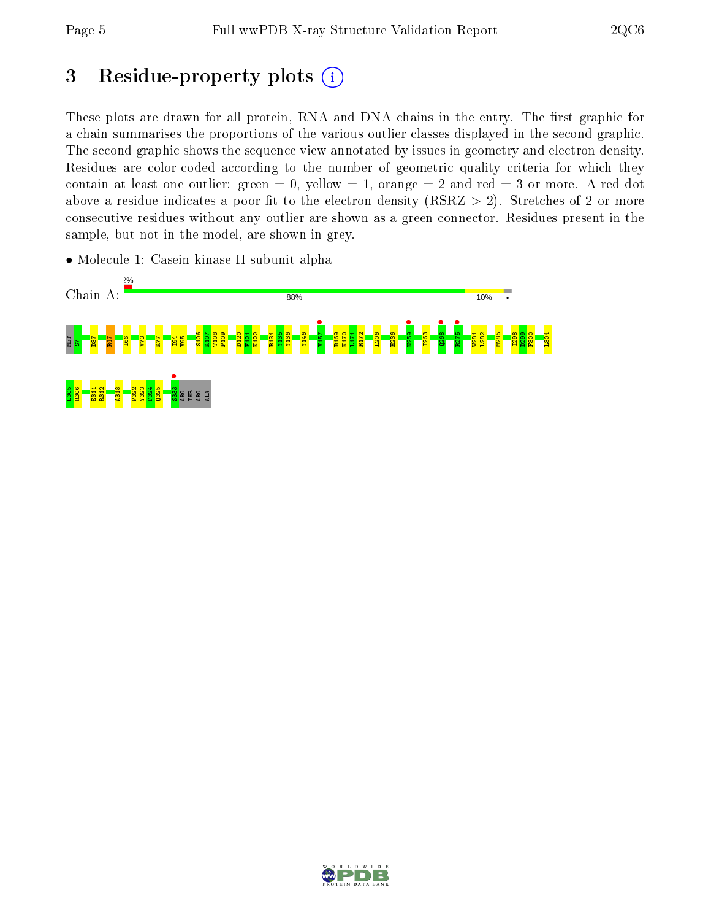## 3 Residue-property plots  $(i)$

These plots are drawn for all protein, RNA and DNA chains in the entry. The first graphic for a chain summarises the proportions of the various outlier classes displayed in the second graphic. The second graphic shows the sequence view annotated by issues in geometry and electron density. Residues are color-coded according to the number of geometric quality criteria for which they contain at least one outlier: green  $= 0$ , yellow  $= 1$ , orange  $= 2$  and red  $= 3$  or more. A red dot above a residue indicates a poor fit to the electron density (RSRZ  $> 2$ ). Stretches of 2 or more consecutive residues without any outlier are shown as a green connector. Residues present in the sample, but not in the model, are shown in grey.

• Molecule 1: Casein kinase II subunit alpha



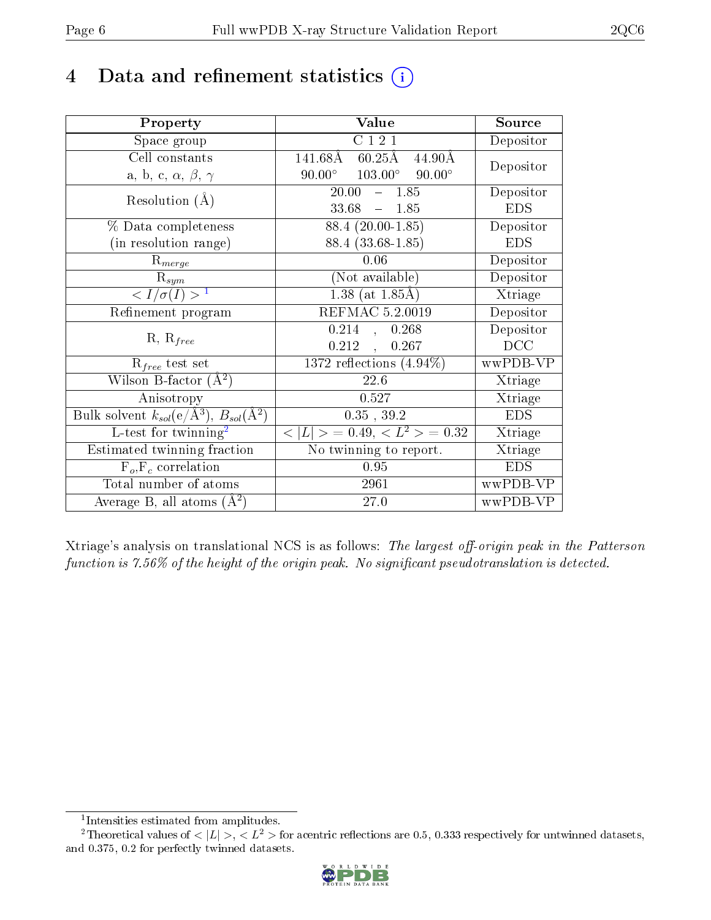## 4 Data and refinement statistics  $(i)$

| Property                                                         | Value                                                        | Source     |
|------------------------------------------------------------------|--------------------------------------------------------------|------------|
| Space group                                                      | C121                                                         | Depositor  |
| Cell constants                                                   | $141.68\text{\AA}$<br>$60.25\text{\AA}$<br>$44.90\text{\AA}$ |            |
| a, b, c, $\alpha$ , $\beta$ , $\gamma$                           | $103.00^\circ$<br>$90.00^\circ$<br>$90.00^{\circ}$           | Depositor  |
| Resolution $(A)$                                                 | 20.00<br>$-1.85$                                             | Depositor  |
|                                                                  | 33.68<br>$-1.85$                                             | <b>EDS</b> |
| % Data completeness                                              | 88.4 (20.00-1.85)                                            | Depositor  |
| (in resolution range)                                            | 88.4 (33.68-1.85)                                            | <b>EDS</b> |
| $R_{merge}$                                                      | 0.06                                                         | Depositor  |
| $\mathrm{R}_{sym}$                                               | (Not available)                                              | Depositor  |
| $\langle I/\sigma(I) \rangle^{-1}$                               | 1.38 (at $1.85\text{\AA}$ )                                  | Xtriage    |
| Refinement program                                               | REFMAC 5.2.0019                                              | Depositor  |
| $R, R_{free}$                                                    | 0.214<br>0.268<br>$\mathcal{L}_{\mathcal{A}}$                | Depositor  |
|                                                                  | 0.212<br>0.267<br>$\overline{a}$                             | DCC        |
| $\mathcal{R}_{free}$ test set                                    | $1372$ reflections $(4.94\%)$                                | wwPDB-VP   |
| Wilson B-factor $(A^2)$                                          | 22.6                                                         | Xtriage    |
| Anisotropy                                                       | 0.527                                                        | Xtriage    |
| Bulk solvent $k_{sol}(\text{e}/\text{A}^3), B_{sol}(\text{A}^2)$ | $0.35$ , $39.2$                                              | <b>EDS</b> |
| L-test for $\mathrm{twinning}^2$                                 | $< L >$ = 0.49, $< L^2 >$ = 0.32                             | Xtriage    |
| Estimated twinning fraction                                      | $\overline{\text{No}}$ twinning to report.                   | Xtriage    |
| $F_o, F_c$ correlation                                           | 0.95                                                         | <b>EDS</b> |
| Total number of atoms                                            | 2961                                                         | wwPDB-VP   |
| Average B, all atoms $(A^2)$                                     | 27.0                                                         | wwPDB-VP   |

Xtriage's analysis on translational NCS is as follows: The largest off-origin peak in the Patterson function is  $7.56\%$  of the height of the origin peak. No significant pseudotranslation is detected.

<sup>&</sup>lt;sup>2</sup>Theoretical values of  $\langle |L| \rangle$ ,  $\langle L^2 \rangle$  for acentric reflections are 0.5, 0.333 respectively for untwinned datasets, and 0.375, 0.2 for perfectly twinned datasets.



<span id="page-5-1"></span><span id="page-5-0"></span><sup>1</sup> Intensities estimated from amplitudes.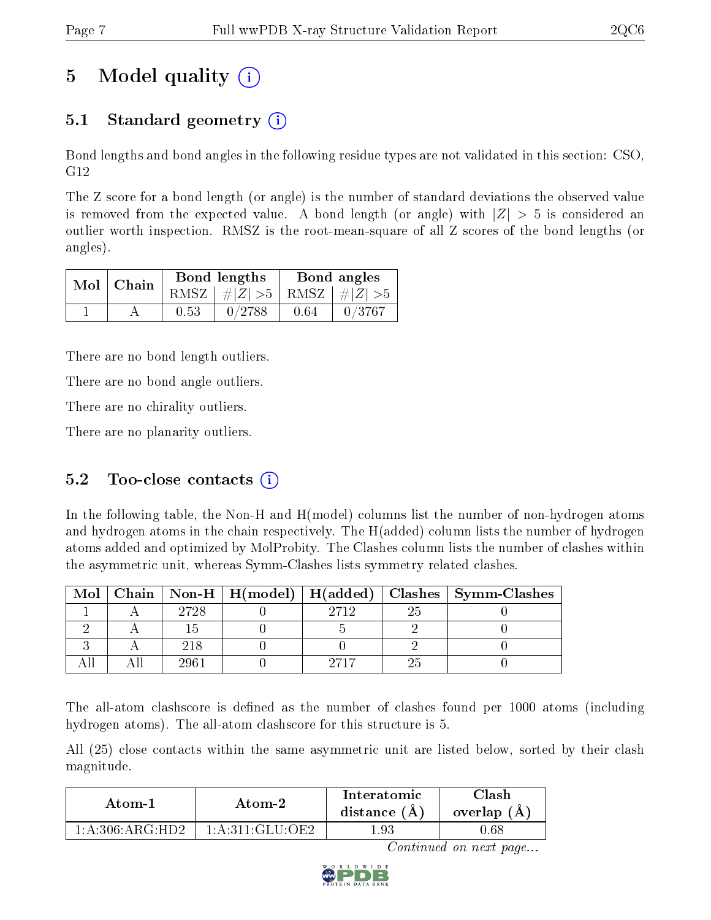# 5 Model quality  $(i)$

### 5.1 Standard geometry  $\overline{()}$

Bond lengths and bond angles in the following residue types are not validated in this section: CSO, G12

The Z score for a bond length (or angle) is the number of standard deviations the observed value is removed from the expected value. A bond length (or angle) with  $|Z| > 5$  is considered an outlier worth inspection. RMSZ is the root-mean-square of all Z scores of the bond lengths (or angles).

| $Mol$   Chain |      | Bond lengths                    | Bond angles |        |  |
|---------------|------|---------------------------------|-------------|--------|--|
|               |      | RMSZ $ #Z  > 5$ RMSZ $ #Z  > 5$ |             |        |  |
|               | 0.53 | 0/2788                          | 0.64        | 0/3767 |  |

There are no bond length outliers.

There are no bond angle outliers.

There are no chirality outliers.

There are no planarity outliers.

### 5.2 Too-close contacts  $(i)$

In the following table, the Non-H and H(model) columns list the number of non-hydrogen atoms and hydrogen atoms in the chain respectively. The H(added) column lists the number of hydrogen atoms added and optimized by MolProbity. The Clashes column lists the number of clashes within the asymmetric unit, whereas Symm-Clashes lists symmetry related clashes.

| Mol |      |      | Chain   Non-H   H(model)   H(added)   Clashes   Symm-Clashes |
|-----|------|------|--------------------------------------------------------------|
|     | 2728 | 9719 |                                                              |
|     |      |      |                                                              |
|     | 218  |      |                                                              |
|     |      |      |                                                              |

The all-atom clashscore is defined as the number of clashes found per 1000 atoms (including hydrogen atoms). The all-atom clashscore for this structure is 5.

All (25) close contacts within the same asymmetric unit are listed below, sorted by their clash magnitude.

| Atom-1              | Atom-2               | Interatomic<br>distance $(A)$ | Clash<br>overlap $(A)$ |
|---------------------|----------------------|-------------------------------|------------------------|
| $1:$ A:306: ARG·HD2 | $1: A:311: GLU:$ OE2 | -93                           | .68                    |

Continued on next page...

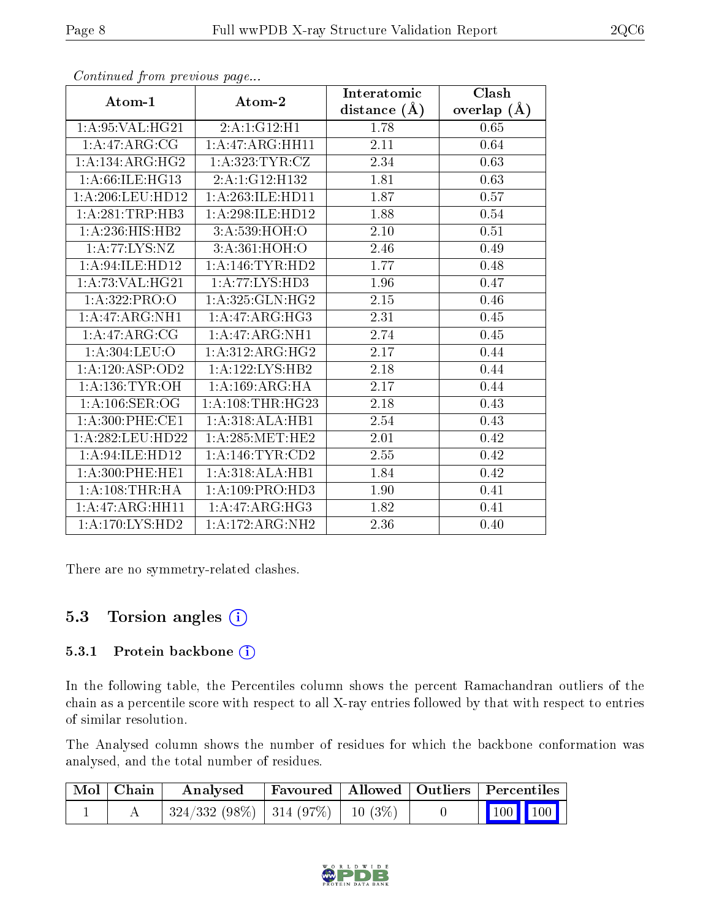|                              |                     | Interatomic      | $\overline{\text{Clash}}$ |
|------------------------------|---------------------|------------------|---------------------------|
| Atom-1                       | Atom-2              | distance $(\AA)$ | overlap $(A)$             |
| 1: A:95: VAL:HG21            | 2:A:1:GI2:H1        | 1.78             | 0.65                      |
| $1:A:47:A\overline{RG:CG}$   | 1:A:47:ARG:HH11     | 2.11             | 0.64                      |
| 1: A:134: ARG:HG2            | 1: A:323: TYR: CZ   | 2.34             | 0.63                      |
| 1: A:66: ILE:HG13            | 2:A:1:G12:H132      | 1.81             | 0.63                      |
| 1:A:206:LEU:HD12             | 1:A:263:ILE:HD11    | 1.87             | 0.57                      |
| 1: A:281:TRP:HB3             | 1:A:298:ILE:HD12    | 1.88             | 0.54                      |
| 1:A:236:HIS:HB2              | 3:A:539:HOH:O       | 2.10             | 0.51                      |
| 1:A:77:LYS:NZ                | 3:A:361:HOH:O       | 2.46             | 0.49                      |
| 1: A:94: ILE: HD12           | 1: A:146: TYR: HD2  | 1.77             | 0.48                      |
| 1: A:73: VAL:HG21            | 1: A: 77: LYS: HD3  | 1.96             | 0.47                      |
| 1: A: 322: PRO: O            | 1: A:325: GLN: HG2  | 2.15             | 0.46                      |
| 1:A:47:ARG:NH1               | 1:A:47:ARG:HG3      | 2.31             | 0.45                      |
| 1: A:47: ARG: CG             | 1: A:47: ARG: NH1   | 2.74             | $0.45\,$                  |
| 1: A:304:LEU:O               | 1:A:312:ARG:HG2     | 2.17             | 0.44                      |
| 1:A:120:ASP:OD2              | 1: A: 122: LYS: HB2 | 2.18             | 0.44                      |
| 1: A: 136: TYR: OH           | 1: A: 169: ARG: HA  | 2.17             | 0.44                      |
| 1: A:106: SER:OG             | 1: A:108:THR:HG23   | 2.18             | 0.43                      |
| 1: A:300: PHE:CE1            | 1:A:318:ALA:HB1     | 2.54             | 0.43                      |
| 1:A:282:LEU:HD22             | 1: A:285:MET:HE2    | 2.01             | 0.42                      |
| 1:A:94:ILE:HD12              | 1: A:146: TYR: CD2  | 2.55             | 0.42                      |
| 1: A:300: PHE:HE1            | 1:A:318:ALA:HB1     | 1.84             | 0.42                      |
| 1: A:108:THR:HA              | 1:A:109:PRO:HD3     | 1.90             | 0.41                      |
| $1:A:47:ARG:H\overline{H11}$ | 1:A:47:ARG:HG3      | 1.82             | 0.41                      |
| 1:A:170:LYS:HD2              | 1:A:172:ARG:NH2     | 2.36             | 0.40                      |

Continued from previous page...

There are no symmetry-related clashes.

### 5.3 Torsion angles (i)

#### 5.3.1 Protein backbone (i)

In the following table, the Percentiles column shows the percent Ramachandran outliers of the chain as a percentile score with respect to all X-ray entries followed by that with respect to entries of similar resolution.

The Analysed column shows the number of residues for which the backbone conformation was analysed, and the total number of residues.

| Mol   Chain | Analysed                                | Favoured   Allowed   Outliers   Percentiles |  |                         |  |
|-------------|-----------------------------------------|---------------------------------------------|--|-------------------------|--|
|             | $324/332(98\%)$   314 (97\%)   10 (3\%) |                                             |  | $\vert$ 100 100 $\vert$ |  |

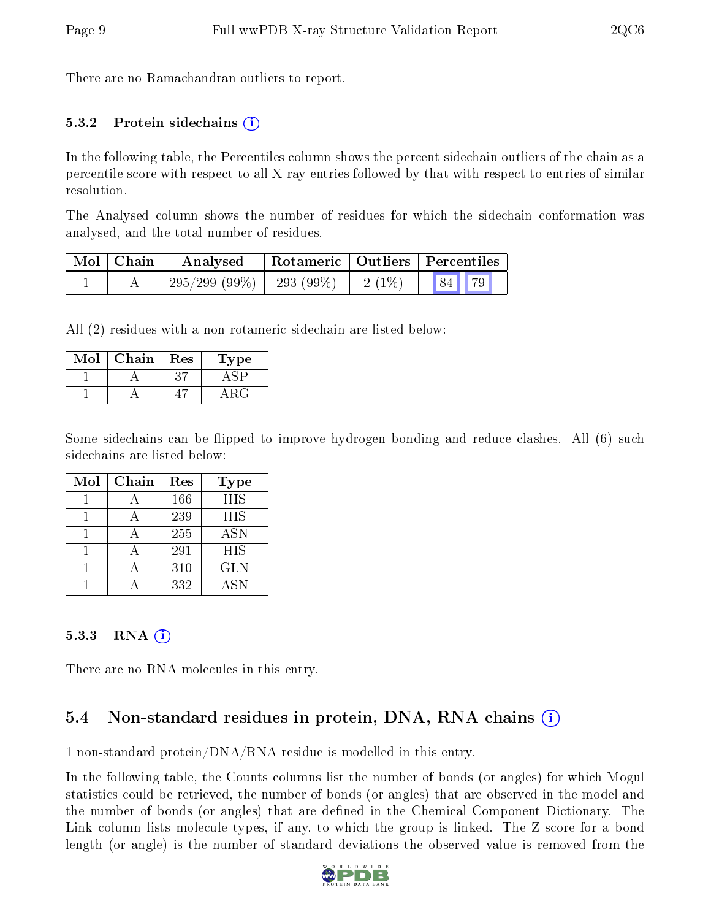There are no Ramachandran outliers to report.

#### 5.3.2 Protein sidechains  $(i)$

In the following table, the Percentiles column shows the percent sidechain outliers of the chain as a percentile score with respect to all X-ray entries followed by that with respect to entries of similar resolution.

The Analysed column shows the number of residues for which the sidechain conformation was analysed, and the total number of residues.

| Mol   Chain | Analysed                                | Rotameric   Outliers   Percentiles |       |  |
|-------------|-----------------------------------------|------------------------------------|-------|--|
|             | $295/299$ (99\%)   293 (99\%)   2 (1\%) |                                    | 84 79 |  |

All (2) residues with a non-rotameric sidechain are listed below:

| Mol | Chain | Res | Type |
|-----|-------|-----|------|
|     |       |     |      |
|     |       |     |      |

Some sidechains can be flipped to improve hydrogen bonding and reduce clashes. All (6) such sidechains are listed below:

| Mol | Chain | Res | Type       |
|-----|-------|-----|------------|
|     |       | 166 | <b>HIS</b> |
|     |       | 239 | <b>HIS</b> |
|     |       | 255 | <b>ASN</b> |
|     |       | 291 | <b>HIS</b> |
|     |       | 310 | <b>GLN</b> |
|     |       | 332 | <b>ASN</b> |

#### 5.3.3 RNA  $(i)$

There are no RNA molecules in this entry.

### 5.4 Non-standard residues in protein, DNA, RNA chains  $(i)$

1 non-standard protein/DNA/RNA residue is modelled in this entry.

In the following table, the Counts columns list the number of bonds (or angles) for which Mogul statistics could be retrieved, the number of bonds (or angles) that are observed in the model and the number of bonds (or angles) that are defined in the Chemical Component Dictionary. The Link column lists molecule types, if any, to which the group is linked. The Z score for a bond length (or angle) is the number of standard deviations the observed value is removed from the

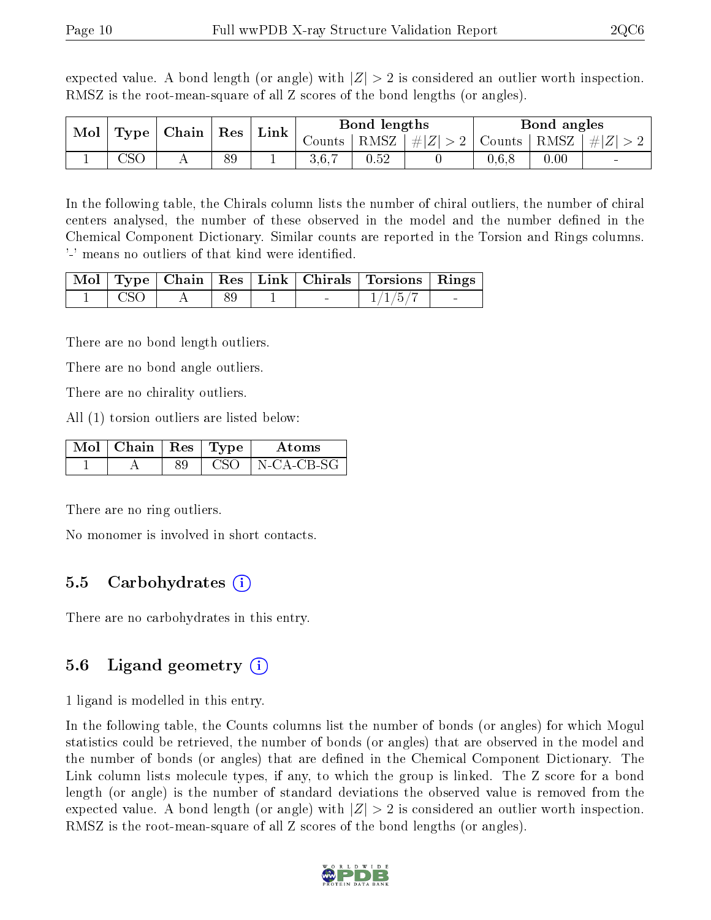expected value. A bond length (or angle) with  $|Z| > 2$  is considered an outlier worth inspection. RMSZ is the root-mean-square of all Z scores of the bond lengths (or angles).

| Mol<br>Type | Chain | Res | Link |  | Bond lengths               |          | Bond angles |        |      |          |
|-------------|-------|-----|------|--|----------------------------|----------|-------------|--------|------|----------|
|             |       |     |      |  | $\sim$ ounts $\pm$         | $RMSZ_1$ | $\# Z  > 2$ | Counts | RMSZ | $ \# Z $ |
|             | ח מר  |     | 89   |  | 3 G 7<br>$\cup$ . $\cup$ . | $0.52\,$ |             | 5. U.U | 0.00 |          |

In the following table, the Chirals column lists the number of chiral outliers, the number of chiral centers analysed, the number of these observed in the model and the number defined in the Chemical Component Dictionary. Similar counts are reported in the Torsion and Rings columns. '-' means no outliers of that kind were identified.

|       |  |  | Mol   Type   Chain   Res   Link   Chirals   Torsions   Rings |  |
|-------|--|--|--------------------------------------------------------------|--|
| - CSC |  |  | $-1/1/5/7$                                                   |  |

There are no bond length outliers.

There are no bond angle outliers.

There are no chirality outliers.

All (1) torsion outliers are listed below:

| $\text{Mol}$   Chain   Res   Type |  | Atoms      |
|-----------------------------------|--|------------|
|                                   |  | N-CA-CB-SG |

There are no ring outliers.

No monomer is involved in short contacts.

#### 5.5 Carbohydrates (i)

There are no carbohydrates in this entry.

### 5.6 Ligand geometry (i)

1 ligand is modelled in this entry.

In the following table, the Counts columns list the number of bonds (or angles) for which Mogul statistics could be retrieved, the number of bonds (or angles) that are observed in the model and the number of bonds (or angles) that are dened in the Chemical Component Dictionary. The Link column lists molecule types, if any, to which the group is linked. The Z score for a bond length (or angle) is the number of standard deviations the observed value is removed from the expected value. A bond length (or angle) with  $|Z| > 2$  is considered an outlier worth inspection. RMSZ is the root-mean-square of all Z scores of the bond lengths (or angles).

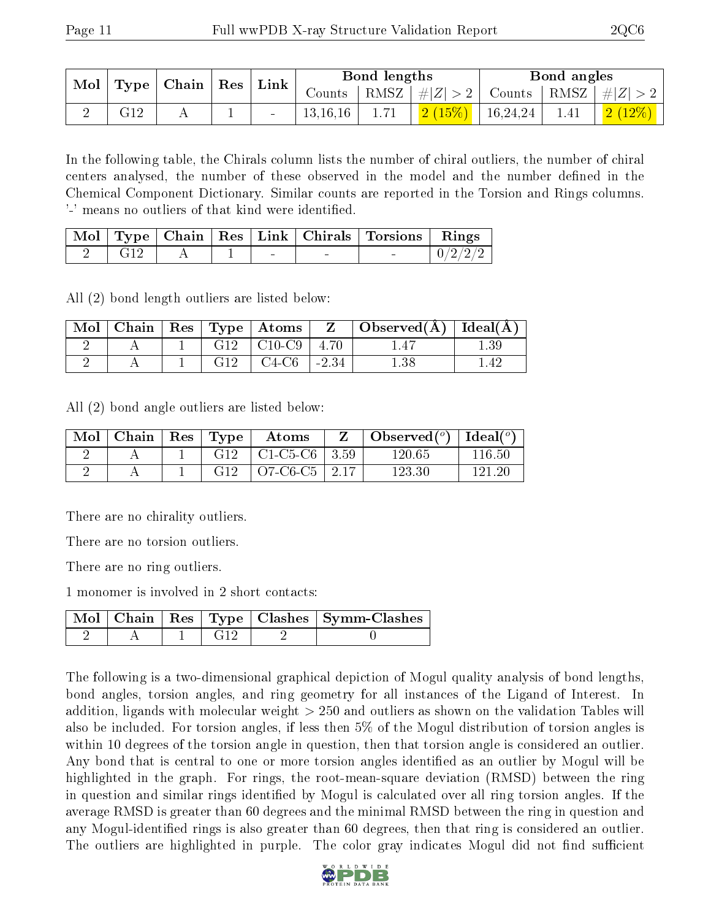| Mol   Type   Chain   Res |     |  | $\perp$ Link |            | Bond lengths |                      | Bond angles                                                       |                       |
|--------------------------|-----|--|--------------|------------|--------------|----------------------|-------------------------------------------------------------------|-----------------------|
|                          |     |  |              |            |              |                      | Counts   RMSZ $\mid \#  Z  > 2$   Counts   RMSZ $\mid \#  Z  > 2$ |                       |
|                          | G12 |  |              | 13, 16, 16 | 1.71         | $2(15\%)$   16,24,24 | $\frac{1.41}{ }$                                                  | $\mid$ 2 (12%) $\mid$ |

In the following table, the Chirals column lists the number of chiral outliers, the number of chiral centers analysed, the number of these observed in the model and the number defined in the Chemical Component Dictionary. Similar counts are reported in the Torsion and Rings columns. '-' means no outliers of that kind were identified.

|             |  |        | Mol   Type   Chain   Res   Link   Chirals   Torsions   Rings |  |
|-------------|--|--------|--------------------------------------------------------------|--|
| $\sim$ C19. |  | $\sim$ |                                                              |  |

All (2) bond length outliers are listed below:

| Mol |  |     | $\pm$ Chain $\pm$ Res $\pm$ Type $\pm$ Atoms $^{\prime\prime}$ | $\mathbf{Z}$ | $\Box$ Observed( $\AA$ ) $\Box$ Ideal( $\AA$ ) |       |
|-----|--|-----|----------------------------------------------------------------|--------------|------------------------------------------------|-------|
|     |  |     | $G12$   $C10-C9$                                               | 4.70         |                                                |       |
|     |  | G12 | - C4-C6                                                        | $-2.34$      |                                                | $-42$ |

All (2) bond angle outliers are listed below:

| Mol | Chain | $Res$ Type | Atoms                |              | Observed $(^\circ)$ | Ideal $(°)$ |
|-----|-------|------------|----------------------|--------------|---------------------|-------------|
|     |       | G12        | $\pm$ C1-C5-C6 $\pm$ | $\pm 3.59$   | 120.65              | 116.50      |
|     |       | G12        | $O7-C6-C5$           | $\pm 2.17$ . | 123.30              | . 191. 96   |

There are no chirality outliers.

There are no torsion outliers.

There are no ring outliers.

1 monomer is involved in 2 short contacts:

|  |  | Mol   Chain   Res   Type   Clashes   Symm-Clashes |
|--|--|---------------------------------------------------|
|  |  |                                                   |

The following is a two-dimensional graphical depiction of Mogul quality analysis of bond lengths, bond angles, torsion angles, and ring geometry for all instances of the Ligand of Interest. In addition, ligands with molecular weight > 250 and outliers as shown on the validation Tables will also be included. For torsion angles, if less then 5% of the Mogul distribution of torsion angles is within 10 degrees of the torsion angle in question, then that torsion angle is considered an outlier. Any bond that is central to one or more torsion angles identified as an outlier by Mogul will be highlighted in the graph. For rings, the root-mean-square deviation (RMSD) between the ring in question and similar rings identified by Mogul is calculated over all ring torsion angles. If the average RMSD is greater than 60 degrees and the minimal RMSD between the ring in question and any Mogul-identied rings is also greater than 60 degrees, then that ring is considered an outlier. The outliers are highlighted in purple. The color gray indicates Mogul did not find sufficient

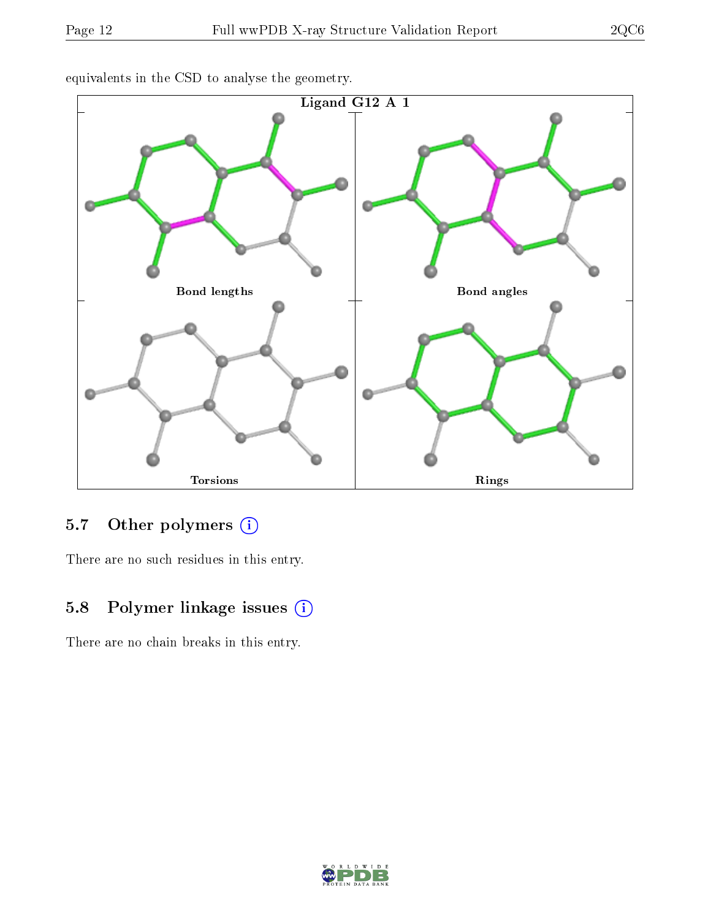

equivalents in the CSD to analyse the geometry.

### 5.7 [O](https://www.wwpdb.org/validation/2017/XrayValidationReportHelp#nonstandard_residues_and_ligands)ther polymers (i)

There are no such residues in this entry.

### 5.8 Polymer linkage issues (i)

There are no chain breaks in this entry.

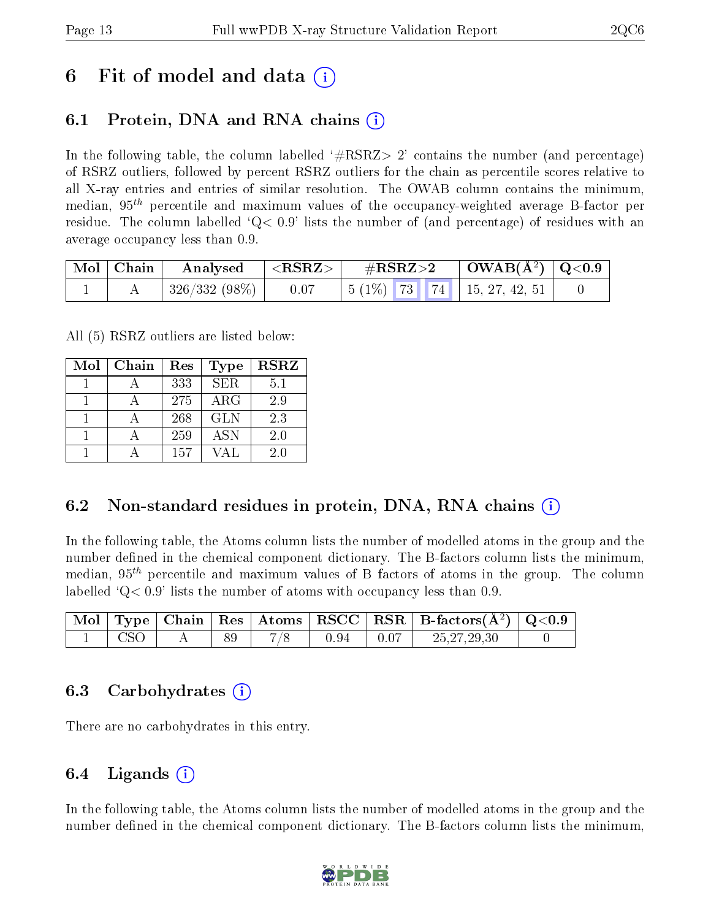## 6 Fit of model and data  $\left( \cdot \right)$

### 6.1 Protein, DNA and RNA chains (i)

In the following table, the column labelled  $#RSRZ>2'$  contains the number (and percentage) of RSRZ outliers, followed by percent RSRZ outliers for the chain as percentile scores relative to all X-ray entries and entries of similar resolution. The OWAB column contains the minimum, median,  $95<sup>th</sup>$  percentile and maximum values of the occupancy-weighted average B-factor per residue. The column labelled  $Q < 0.9$  lists the number of (and percentage) of residues with an average occupancy less than 0.9.

|  | $\mid$ Mol $\mid$ Chain $\mid$ Analysed $\mid$ <rsrz> <math>\mid</math></rsrz> |      | $\rm \#RSRZ{>}2$ |  | $\vert$ OWAB(Å <sup>2</sup> ) $\vert$ Q<0.9 $\vert$ |                                                                                                     |  |
|--|--------------------------------------------------------------------------------|------|------------------|--|-----------------------------------------------------|-----------------------------------------------------------------------------------------------------|--|
|  | 326/332 (98%)                                                                  | 0.07 |                  |  |                                                     | $\begin{array}{ c c c c c c c c c } \hline 5 & (1\%) & 73 & 74 & 15, 27, 42, 51 \hline \end{array}$ |  |

All (5) RSRZ outliers are listed below:

| Mol | Chain | $\operatorname{Res}% \left( \mathcal{N}\right) \equiv\operatorname{Res}(\mathcal{N}_{0})\cap\mathcal{N}_{1}$ | <b>Type</b> | <b>RSRZ</b> |
|-----|-------|--------------------------------------------------------------------------------------------------------------|-------------|-------------|
|     |       | 333                                                                                                          | <b>SER</b>  | 5.1         |
|     |       | 275                                                                                                          | $\rm{ARG}$  | 2.9         |
|     |       | 268                                                                                                          | <b>GLN</b>  | 2.3         |
|     |       | 259                                                                                                          | <b>ASN</b>  | 2.0         |
|     |       | 157                                                                                                          |             | 20          |

### 6.2 Non-standard residues in protein, DNA, RNA chains (i)

In the following table, the Atoms column lists the number of modelled atoms in the group and the number defined in the chemical component dictionary. The B-factors column lists the minimum, median,  $95<sup>th</sup>$  percentile and maximum values of B factors of atoms in the group. The column labelled  $^{\circ}Q< 0.9'$  lists the number of atoms with occupancy less than 0.9.

|            |  |     |      |                                                      | $\mid$ Mol $\mid$ Type $\mid$ Chain $\mid$ Res $\mid$ Atoms $\mid$ RSCC $\mid$ RSR $\mid$ B-factors(A <sup>2</sup> ) $\mid$ Q<0.9 |  |
|------------|--|-----|------|------------------------------------------------------|-----------------------------------------------------------------------------------------------------------------------------------|--|
| <b>CSO</b> |  | 7/8 | 0.94 | $\begin{array}{c} \begin{array}{c} \end{array}$ 0.07 | 25, 27, 29, 30                                                                                                                    |  |

#### 6.3 Carbohydrates (i)

There are no carbohydrates in this entry.

### 6.4 Ligands  $(i)$

In the following table, the Atoms column lists the number of modelled atoms in the group and the number defined in the chemical component dictionary. The B-factors column lists the minimum,